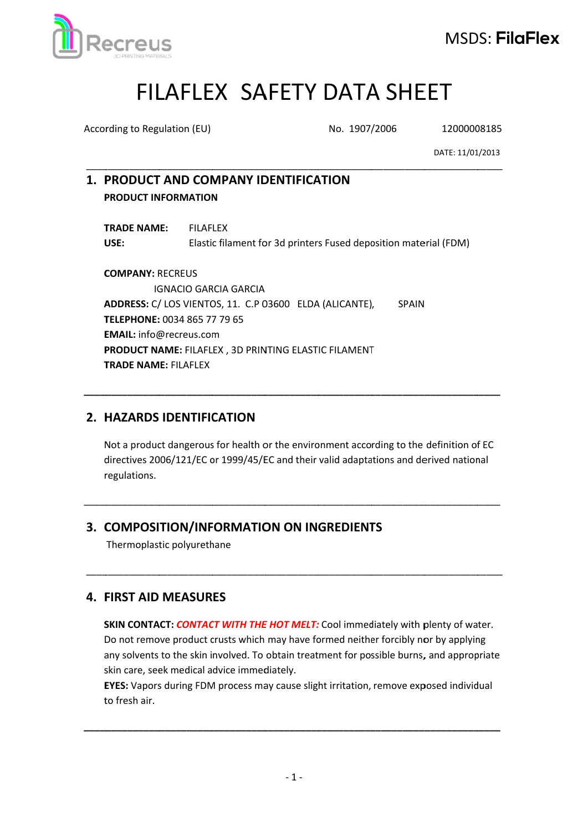

# FILAFLEX SAFETY DATA SHEET

According to Regulation (EU)

No. 1907/2006

12000008185

DATE: 11/01/2013

# 1. PRODUCT AND COMPANY IDENTIFICATION **PRODUCT INFORMATION**

**TRADE NAME: FILAFLEX** USE: Elastic filament for 3d printers Fused deposition material (FDM)

**COMPANY: RECREUS IGNACIO GARCIA GARCIA** ADDRESS: C/ LOS VIENTOS, 11. C.P 03600 ELDA (ALICANTE), **SPAIN** TELEPHONE: 0034 865 77 79 65 **EMAIL:** info@recreus.com PRODUCT NAME: FILAFLEX, 3D PRINTING ELASTIC FILAMENT **TRADE NAME: FILAFLEX** 

# 2. HAZARDS IDENTIFICATION

Not a product dangerous for health or the environment according to the definition of EC directives 2006/121/EC or 1999/45/EC and their valid adaptations and derived national regulations.

# 3. COMPOSITION/INFORMATION ON INGREDIENTS

Thermoplastic polyurethane

# **4. FIRST AID MEASURES**

SKIN CONTACT: CONTACT WITH THE HOT MELT: Cool immediately with plenty of water. Do not remove product crusts which may have formed neither forcibly nor by applying any solvents to the skin involved. To obtain treatment for possible burns, and appropriate skin care, seek medical advice immediately.

EYES: Vapors during FDM process may cause slight irritation, remove exposed individual to fresh air.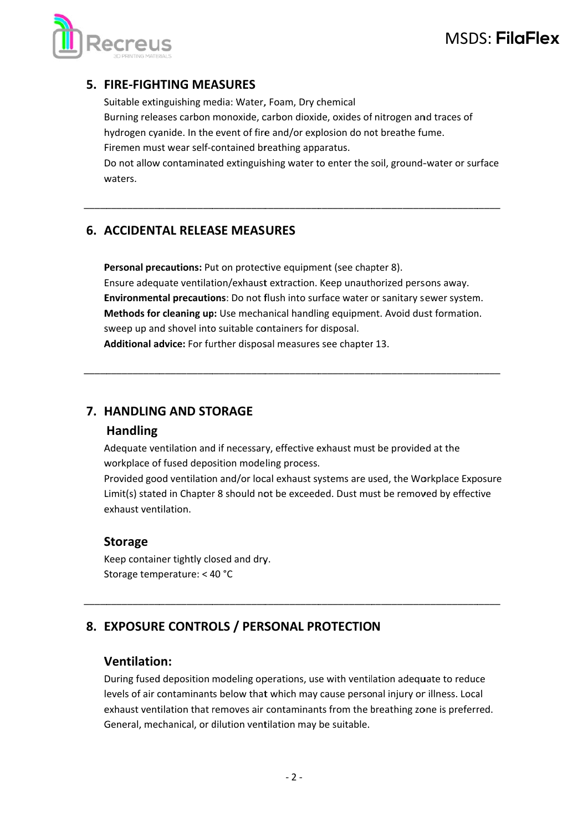

# MSDS: FilaFlex

# **5. FIRE-FIGHTING MEASURES**

Suitable extinguishing media: Water, Foam, Dry chemical Burning releases carbon monoxide, carbon dioxide, oxides of nitrogen and traces of hydrogen cyanide. In the event of fire and/or explosion do not breathe fume. Firemen must wear self-contained breathing apparatus.

Do not allow contaminated extinguishing water to enter the soil, ground-water or surface waters.

#### **6. ACCIDENTAL RELEASE MEASURES**

Personal precautions: Put on protective equipment (see chapter 8). Ensure adequate ventilation/exhaust extraction. Keep unauthorized persons away. Environmental precautions: Do not flush into surface water or sanitary sewer system. Methods for cleaning up: Use mechanical handling equipment. Avoid dust formation. sweep up and shovel into suitable containers for disposal. Additional advice: For further disposal measures see chapter 13.

# 7. HANDLING AND STORAGE

#### **Handling**

Adequate ventilation and if necessary, effective exhaust must be provided at the workplace of fused deposition modeling process.

Provided good ventilation and/or local exhaust systems are used, the Workplace Exposure Limit(s) stated in Chapter 8 should not be exceeded. Dust must be removed by effective exhaust ventilation.

#### **Storage**

Keep container tightly closed and dry. Storage temperature: < 40 °C

# 8. EXPOSURE CONTROLS / PERSONAL PROTECTION

#### **Ventilation:**

During fused deposition modeling operations, use with ventilation adequate to reduce levels of air contaminants below that which may cause personal injury or illness. Local exhaust ventilation that removes air contaminants from the breathing zone is preferred. General, mechanical, or dilution ventilation may be suitable.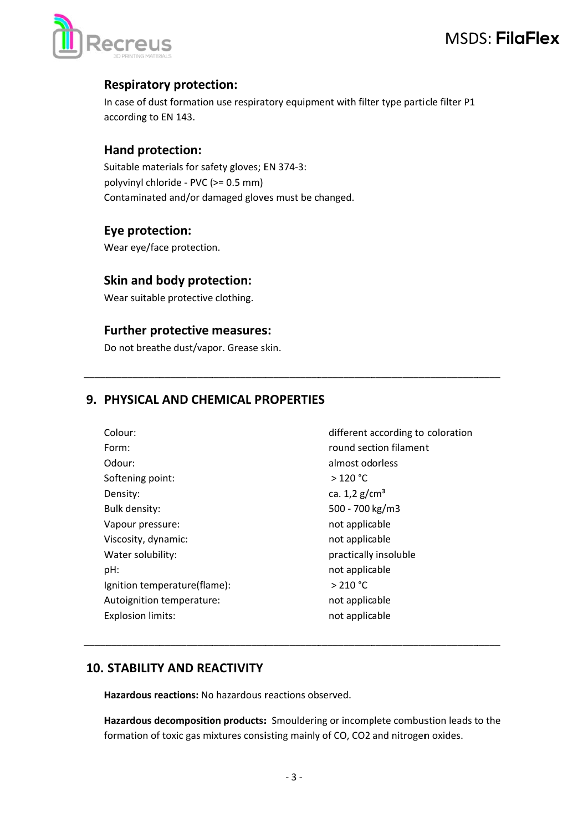

# **Respiratory protection:**

In case of dust formation use respiratory equipment with filter type particle filter P1 according to EN 143.

#### Hand protection:

Suitable materials for safety gloves; EN 374-3: polyvinyl chloride - PVC (>= 0.5 mm) Contaminated and/or damaged gloves must be changed.

#### Eye protection:

Wear eye/face protection.

# Skin and body protection:

Wear suitable protective clothing.

#### **Further protective measures:**

Do not breathe dust/vapor. Grease skin.

# 9. PHYSICAL AND CHEMICAL PROPERTIES

| Colour:                      | different according to coloration |  |
|------------------------------|-----------------------------------|--|
| Form:                        | round section filament            |  |
| Odour:                       | almost odorless                   |  |
| Softening point:             | $>120$ °C                         |  |
| Density:                     | ca. $1,2 \text{ g/cm}^3$          |  |
| Bulk density:                | 500 - 700 kg/m3                   |  |
| Vapour pressure:             | not applicable                    |  |
| Viscosity, dynamic:          | not applicable                    |  |
| Water solubility:            | practically insoluble             |  |
| pH:                          | not applicable                    |  |
| Ignition temperature(flame): | > 210 °C                          |  |
| Autoignition temperature:    | not applicable                    |  |
| <b>Explosion limits:</b>     | not applicable                    |  |
|                              |                                   |  |

# **10. STABILITY AND REACTIVITY**

Hazardous reactions: No hazardous reactions observed.

Hazardous decomposition products: Smouldering or incomplete combustion leads to the formation of toxic gas mixtures consisting mainly of CO, CO2 and nitrogen oxides.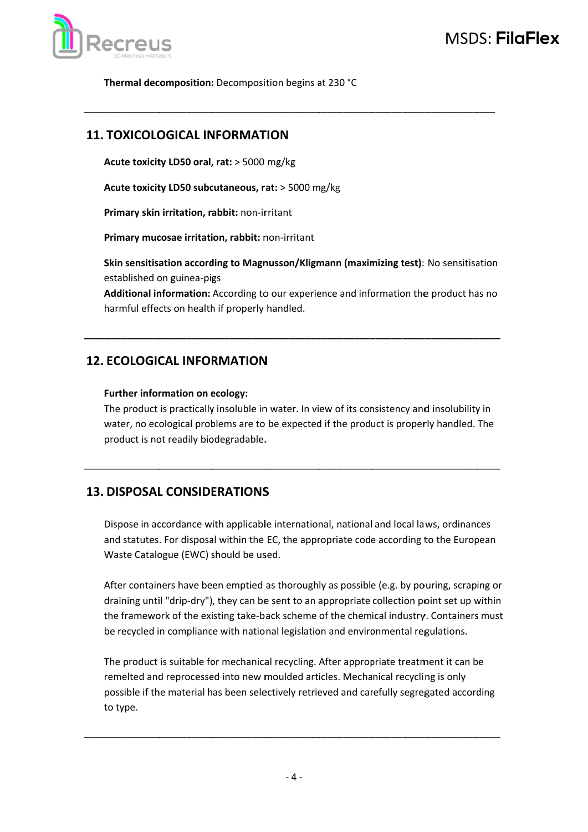

Thermal decomposition: Decomposition begins at 230 °C

### **11. TOXICOLOGICAL INFORMATION**

Acute toxicity LD50 oral, rat: > 5000 mg/kg

Acute toxicity LD50 subcutaneous, rat: > 5000 mg/kg

Primary skin irritation, rabbit: non-irritant

Primary mucosae irritation, rabbit: non-irritant

Skin sensitisation according to Magnusson/Kligmann (maximizing test): No sensitisation established on guinea-pigs

**Additional information:** According to our experience and information the product has no harmful effects on health if properly handled.

# **12. ECOLOGICAL INFORMATION**

#### Further information on ecology:

The product is practically insoluble in water. In view of its consistency and insolubility in water, no ecological problems are to be expected if the product is properly handled. The product is not readily biodegradable.

# **13. DISPOSAL CONSIDERATIONS**

Dispose in accordance with applicable international, national and local laws, ordinances and statutes. For disposal within the EC, the appropriate code according to the European Waste Catalogue (EWC) should be used.

After containers have been emptied as thoroughly as possible (e.g. by pouring, scraping or draining until "drip-dry"), they can be sent to an appropriate collection point set up within the framework of the existing take-back scheme of the chemical industry. Containers must be recycled in compliance with national legislation and environmental regulations.

The product is suitable for mechanical recycling. After appropriate treatment it can be remelted and reprocessed into new moulded articles. Mechanical recycling is only possible if the material has been selectively retrieved and carefully segregated according to type.